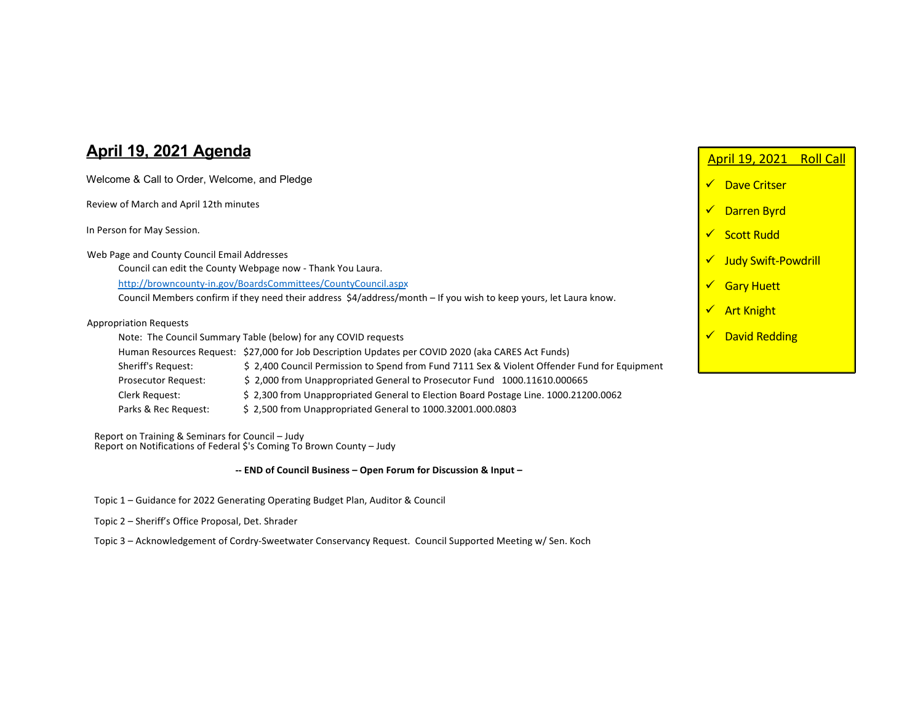## **April 19, 2021 Agenda**

| Welcome & Call to Order, Welcome, and Pledge                                                                      |                                                                                                    |   | Dave Critser               |
|-------------------------------------------------------------------------------------------------------------------|----------------------------------------------------------------------------------------------------|---|----------------------------|
| Review of March and April 12th minutes                                                                            |                                                                                                    |   | <b>Darren Byrd</b>         |
| In Person for May Session.                                                                                        |                                                                                                    |   | <b>Scott Rudd</b>          |
| Web Page and County Council Email Addresses                                                                       |                                                                                                    |   | <b>Judy Swift-Powdrill</b> |
| Council can edit the County Webpage now - Thank You Laura.                                                        |                                                                                                    |   |                            |
| http://browncounty-in.gov/BoardsCommittees/CountyCouncil.aspx                                                     |                                                                                                    |   | <b>Gary Huett</b>          |
| Council Members confirm if they need their address \$4/address/month – If you wish to keep yours, let Laura know. |                                                                                                    |   |                            |
|                                                                                                                   |                                                                                                    | ✔ | <b>Art Knight</b>          |
| <b>Appropriation Requests</b>                                                                                     |                                                                                                    |   |                            |
| Note: The Council Summary Table (below) for any COVID requests                                                    |                                                                                                    |   | <b>David Redding</b>       |
|                                                                                                                   | Human Resources Request: \$27,000 for Job Description Updates per COVID 2020 (aka CARES Act Funds) |   |                            |
| Sheriff's Request:                                                                                                | \$2,400 Council Permission to Spend from Fund 7111 Sex & Violent Offender Fund for Equipment       |   |                            |
| Prosecutor Request:                                                                                               | \$2,000 from Unappropriated General to Prosecutor Fund 1000.11610.000665                           |   |                            |
| Clerk Request:                                                                                                    | \$2,300 from Unappropriated General to Election Board Postage Line. 1000.21200.0062                |   |                            |

April 19, 2021 Roll Call

Report on Training & Seminars for Council – Judy Report on Notifications of Federal \$'s Coming To Brown County - Judy

**-- END of Council Business – Open Forum for Discussion & Input –**

- Topic 1 Guidance for 2022 Generating Operating Budget Plan, Auditor & Council
- Topic 2 Sheriff's Office Proposal, Det. Shrader

Topic 3 – Acknowledgement of Cordry-Sweetwater Conservancy Request. Council Supported Meeting w/ Sen. Koch

Parks & Rec Request: \$ 2,500 from Unappropriated General to 1000.32001.000.0803